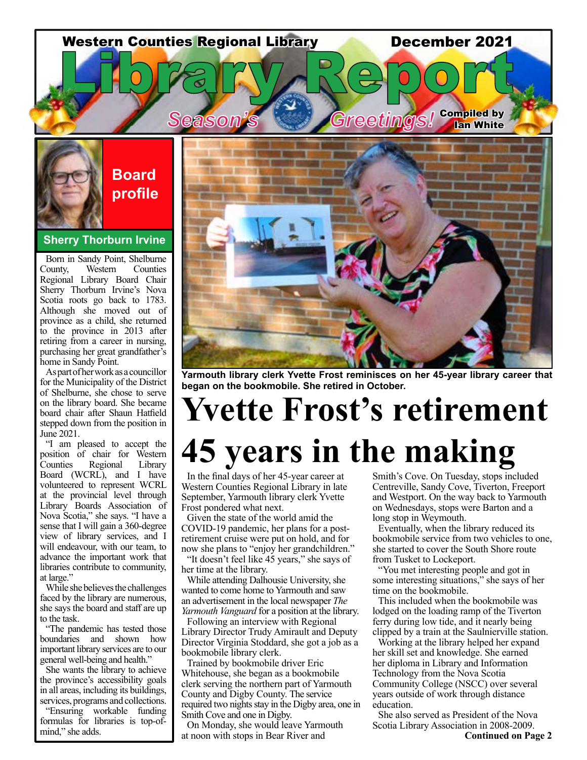

#### **Sherry Thorburn Irvine**

Born in Sandy Point, Shelburne<br>County, Western Counties Counties Regional Library Board Chair Sherry Thorburn Irvine's Nova Scotia roots go back to 1783. Although she moved out of province as a child, she returned to the province in 2013 after retiring from a career in nursing, purchasing her great grandfather's home in Sandy Point.

As part of her work as a councillor for the Municipality of the District of Shelburne, she chose to serve on the library board. She became board chair after Shaun Hatfield stepped down from the position in June 2021.

"I am pleased to accept the position of chair for Western<br>Counties Regional Library Counties Regional Board (WCRL), and I have volunteered to represent WCRL at the provincial level through Library Boards Association of Nova Scotia," she says. "I have a sense that I will gain a 360-degree view of library services, and I will endeavour, with our team, to advance the important work that libraries contribute to community, at large."

While she believes the challenges faced by the library are numerous, she says the board and staff are up to the task.

"The pandemic has tested those boundaries and shown how important library services are to our general well-being and health."

She wants the library to achieve the province's accessibility goals in all areas, including its buildings, services, programs and collections.

"Ensuring workable funding formulas for libraries is top-ofmind," she adds.



**Yarmouth library clerk Yvette Frost reminisces on her 45-year library career that began on the bookmobile. She retired in October.**

# **Yvette Frost's retirement 45 years in the making**

In the final days of her 45-year career at Western Counties Regional Library in late September, Yarmouth library clerk Yvette Frost pondered what next.

Given the state of the world amid the COVID-19 pandemic, her plans for a postretirement cruise were put on hold, and for now she plans to "enjoy her grandchildren."

"It doesn't feel like 45 years," she says of her time at the library.

While attending Dalhousie University, she wanted to come home to Yarmouth and saw an advertisement in the local newspaper *The Yarmouth Vanguard* for a position at the library.

Following an interview with Regional Library Director Trudy Amirault and Deputy Director Virginia Stoddard, she got a job as a bookmobile library clerk.

Trained by bookmobile driver Eric Whitehouse, she began as a bookmobile clerk serving the northern part of Yarmouth County and Digby County. The service required two nights stay in the Digby area, one in Smith Cove and one in Digby.

On Monday, she would leave Yarmouth at noon with stops in Bear River and

Smith's Cove. On Tuesday, stops included Centreville, Sandy Cove, Tiverton, Freeport and Westport. On the way back to Yarmouth on Wednesdays, stops were Barton and a long stop in Weymouth.

Eventually, when the library reduced its bookmobile service from two vehicles to one, she started to cover the South Shore route from Tusket to Lockeport.

"You met interesting people and got in some interesting situations," she says of her time on the bookmobile.

This included when the bookmobile was lodged on the loading ramp of the Tiverton ferry during low tide, and it nearly being clipped by a train at the Saulnierville station.

Working at the library helped her expand her skill set and knowledge. She earned her diploma in Library and Information Technology from the Nova Scotia Community College (NSCC) over several years outside of work through distance education.

She also served as President of the Nova Scotia Library Association in 2008-2009. **Continued on Page 2**